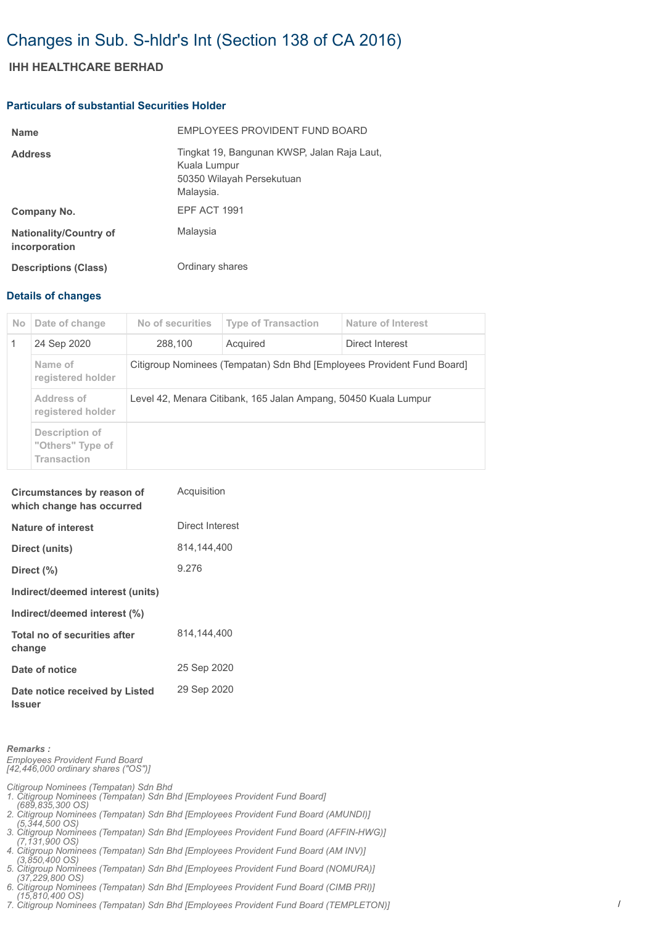# Changes in Sub. S-hldr's Int (Section 138 of CA 2016)

## **IHH HEALTHCARE BERHAD**

#### **Particulars of substantial Securities Holder**

| <b>Name</b>                                    | EMPLOYEES PROVIDENT FUND BOARD                                                                        |
|------------------------------------------------|-------------------------------------------------------------------------------------------------------|
| <b>Address</b>                                 | Tingkat 19, Bangunan KWSP, Jalan Raja Laut,<br>Kuala Lumpur<br>50350 Wilayah Persekutuan<br>Malaysia. |
| Company No.                                    | EPF ACT 1991                                                                                          |
| <b>Nationality/Country of</b><br>incorporation | Malaysia                                                                                              |
| <b>Descriptions (Class)</b>                    | Ordinary shares                                                                                       |

### **Details of changes**

| No.          | Date of change                                           | No of securities                                                       | <b>Type of Transaction</b> | Nature of Interest |  |
|--------------|----------------------------------------------------------|------------------------------------------------------------------------|----------------------------|--------------------|--|
| $\mathbf{1}$ | 24 Sep 2020                                              | 288,100                                                                | Acquired                   | Direct Interest    |  |
|              | Name of<br>registered holder                             | Citigroup Nominees (Tempatan) Sdn Bhd [Employees Provident Fund Board] |                            |                    |  |
|              | Address of<br>registered holder                          | Level 42, Menara Citibank, 165 Jalan Ampang, 50450 Kuala Lumpur        |                            |                    |  |
|              | Description of<br>"Others" Type of<br><b>Transaction</b> |                                                                        |                            |                    |  |

| Circumstances by reason of<br>which change has occurred | Acquisition     |
|---------------------------------------------------------|-----------------|
| Nature of interest                                      | Direct Interest |
| Direct (units)                                          | 814.144.400     |
| Direct $(\% )$                                          | 9.276           |
| Indirect/deemed interest (units)                        |                 |
| Indirect/deemed interest (%)                            |                 |
| Total no of securities after<br>change                  | 814.144.400     |
| Date of notice                                          | 25 Sep 2020     |
| Date notice received by Listed<br><b>Issuer</b>         | 29 Sep 2020     |

*Remarks : Employees Provident Fund Board [42,446,000 ordinary shares ("OS")]*

*Citigroup Nominees (Tempatan) Sdn Bhd 1. Citigroup Nominees (Tempatan) Sdn Bhd [Employees Provident Fund Board] (689,835,300 OS)*

*2. Citigroup Nominees (Tempatan) Sdn Bhd [Employees Provident Fund Board (AMUNDI)] (5,344,500 OS)*

*3. Citigroup Nominees (Tempatan) Sdn Bhd [Employees Provident Fund Board (AFFIN-HWG)] (7,131,900 OS)*

*4. Citigroup Nominees (Tempatan) Sdn Bhd [Employees Provident Fund Board (AM INV)]* 

 *(3,850,400 OS) 5. Citigroup Nominees (Tempatan) Sdn Bhd [Employees Provident Fund Board (NOMURA)]* 

 *(37,229,800 OS) 6. Citigroup Nominees (Tempatan) Sdn Bhd [Employees Provident Fund Board (CIMB PRI)]* 

 *(15,810,400 OS) 7. Citigroup Nominees (Tempatan) Sdn Bhd [Employees Provident Fund Board (TEMPLETON)]*